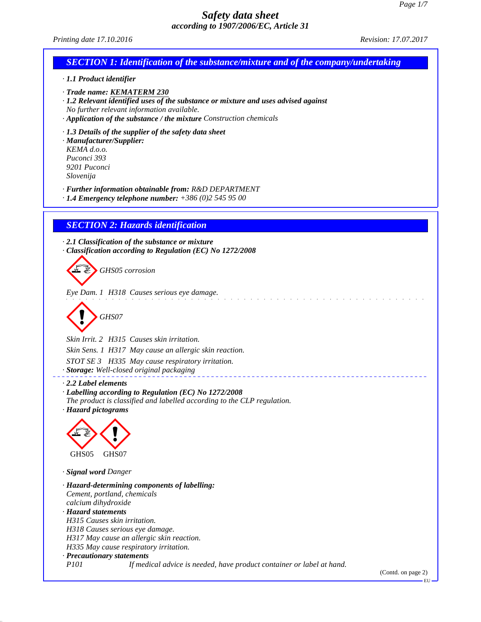| <i>accoraing to 190//2000/EC, Article 31</i><br>Printing date 17.10.2016                                                                                                                                                                                                             | <i>Revision: 17.07.2017</i> |
|--------------------------------------------------------------------------------------------------------------------------------------------------------------------------------------------------------------------------------------------------------------------------------------|-----------------------------|
| <b>SECTION 1: Identification of the substance/mixture and of the company/undertaking</b>                                                                                                                                                                                             |                             |
| · 1.1 Product identifier                                                                                                                                                                                                                                                             |                             |
| · Trade name: KEMATERM 230<br>· 1.2 Relevant identified uses of the substance or mixture and uses advised against<br>No further relevant information available.<br>$\cdot$ Application of the substance / the mixture Construction chemicals                                         |                             |
| · 1.3 Details of the supplier of the safety data sheet<br>· Manufacturer/Supplier:<br>KEMA d.o.o.<br>Puconci 393<br>9201 Puconci<br>Slovenija                                                                                                                                        |                             |
| · Further information obtainable from: R&D DEPARTMENT<br>$\cdot$ 1.4 Emergency telephone number: +386 (0)2 545 95 00                                                                                                                                                                 |                             |
| <b>SECTION 2: Hazards identification</b>                                                                                                                                                                                                                                             |                             |
| $\cdot$ 2.1 Classification of the substance or mixture<br>Classification according to Regulation (EC) No 1272/2008                                                                                                                                                                   |                             |
| GHS05 corrosion                                                                                                                                                                                                                                                                      |                             |
| Eye Dam. 1 H318 Causes serious eye damage.<br>GHS07                                                                                                                                                                                                                                  |                             |
|                                                                                                                                                                                                                                                                                      |                             |
| Skin Irrit. 2 H315 Causes skin irritation.                                                                                                                                                                                                                                           |                             |
| Skin Sens. 1 H317 May cause an allergic skin reaction.<br>STOT SE 3 H335 May cause respiratory irritation.                                                                                                                                                                           |                             |
| · Storage: Well-closed original packaging                                                                                                                                                                                                                                            |                             |
| $\cdot$ 2.2 Label elements<br>· Labelling according to Regulation (EC) No 1272/2008<br>The product is classified and labelled according to the CLP regulation.<br>· Hazard pictograms                                                                                                |                             |
| GHS05<br>GHS07                                                                                                                                                                                                                                                                       |                             |
| · Signal word Danger                                                                                                                                                                                                                                                                 |                             |
| · Hazard-determining components of labelling:<br>Cement, portland, chemicals<br>calcium dihydroxide<br>· Hazard statements<br>H315 Causes skin irritation.<br>H318 Causes serious eye damage.<br>H317 May cause an allergic skin reaction.<br>H335 May cause respiratory irritation. |                             |
| · Precautionary statements                                                                                                                                                                                                                                                           |                             |
| <i>P101</i><br>If medical advice is needed, have product container or label at hand.                                                                                                                                                                                                 | (Contd. on page 2)          |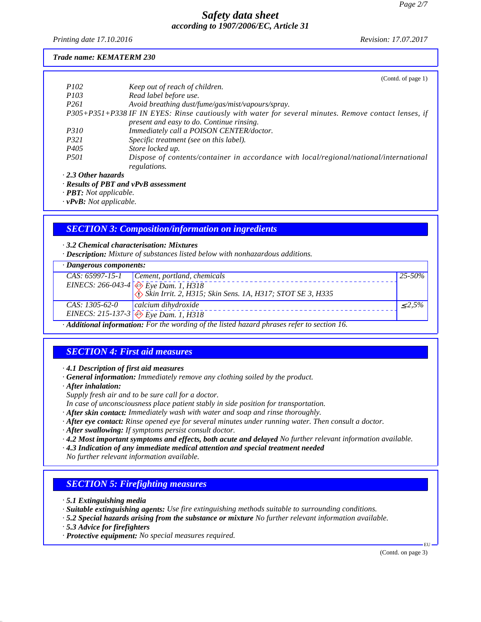*Printing date 17.10.2016 Revision: 17.07.2017*

#### *Trade name: KEMATERM 230*

|                           | (Contd. of page 1)                                                                                    |
|---------------------------|-------------------------------------------------------------------------------------------------------|
| <i>P102</i>               | Keep out of reach of children.                                                                        |
| <i>P103</i>               | Read label before use.                                                                                |
| P <sub>261</sub>          | Avoid breathing dust/fume/gas/mist/vapours/spray.                                                     |
|                           | P305+P351+P338 IF IN EYES: Rinse cautiously with water for several minutes. Remove contact lenses, if |
|                           | present and easy to do. Continue rinsing.                                                             |
| <i>P310</i>               | Immediately call a POISON CENTER/doctor.                                                              |
| <i>P321</i>               | Specific treatment (see on this label).                                                               |
| P <sub>405</sub>          | Store locked up.                                                                                      |
| <i>P501</i>               | Dispose of contents/container in accordance with local/regional/national/international                |
|                           | regulations.                                                                                          |
| $\cdot$ 2.3 Other hazards |                                                                                                       |
|                           | $\cdot$ Results of PBT and vPvB assessment                                                            |

*· PBT: Not applicable.*

*· vPvB: Not applicable.*

## *SECTION 3: Composition/information on ingredients*

#### *· 3.2 Chemical characterisation: Mixtures*

*· Description: Mixture of substances listed below with nonhazardous additions.*

# *· Dangerous components:*

| · Dungerous components:                                                                  |                                                                                                                                                                                     |              |
|------------------------------------------------------------------------------------------|-------------------------------------------------------------------------------------------------------------------------------------------------------------------------------------|--------------|
|                                                                                          | $CAS: 65997-15-1$ Cement, portland, chemicals                                                                                                                                       | $25 - 50\%$  |
|                                                                                          |                                                                                                                                                                                     |              |
|                                                                                          | EINECS: 266-043-4<br>$\left\{\begin{matrix} 2 \\ 2 \\ 3 \end{matrix} \right\}$ Eye Dam. 1, H318<br>$\left\{3, 15\right\}$ Skin Irrit. 2, H315; Skin Sens. 1A, H317; STOT SE 3, H335 |              |
| CAS: 1305-62-0                                                                           | $ calc$ ium dihydroxide                                                                                                                                                             | $\leq 2.5\%$ |
|                                                                                          | EINECS: 215-137-3 $\leftrightarrow$ Eye Dam. 1, H318                                                                                                                                |              |
| Additional information: For the wording of the listed hazard phrases refer to section 16 |                                                                                                                                                                                     |              |

*· Additional information: For the wording of the listed hazard phrases refer to section 16.*

# *SECTION 4: First aid measures*

*· 4.1 Description of first aid measures*

- *· General information: Immediately remove any clothing soiled by the product.*
- *· After inhalation:*
- *Supply fresh air and to be sure call for a doctor.*
- *In case of unconsciousness place patient stably in side position for transportation.*
- *· After skin contact: Immediately wash with water and soap and rinse thoroughly.*
- *· After eye contact: Rinse opened eye for several minutes under running water. Then consult a doctor.*
- *· After swallowing: If symptoms persist consult doctor.*
- *· 4.2 Most important symptoms and effects, both acute and delayed No further relevant information available.*
- *· 4.3 Indication of any immediate medical attention and special treatment needed*

*No further relevant information available.*

### *SECTION 5: Firefighting measures*

- *· 5.1 Extinguishing media*
- *· Suitable extinguishing agents: Use fire extinguishing methods suitable to surrounding conditions.*
- *· 5.2 Special hazards arising from the substance or mixture No further relevant information available.*
- *· 5.3 Advice for firefighters*
- *· Protective equipment: No special measures required.*

(Contd. on page 3)

EU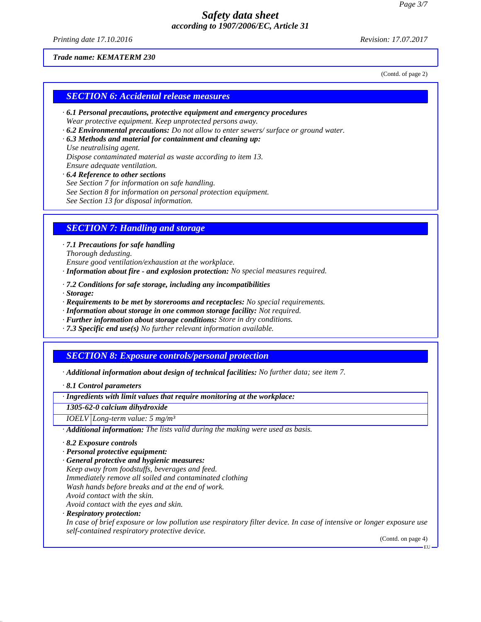*Printing date 17.10.2016 Revision: 17.07.2017*

(Contd. of page 2)

#### *Trade name: KEMATERM 230*

*SECTION 6: Accidental release measures*

- *· 6.1 Personal precautions, protective equipment and emergency procedures Wear protective equipment. Keep unprotected persons away.*
- *· 6.2 Environmental precautions: Do not allow to enter sewers/ surface or ground water.*
- *· 6.3 Methods and material for containment and cleaning up:*

*Use neutralising agent. Dispose contaminated material as waste according to item 13. Ensure adequate ventilation.*

- *· 6.4 Reference to other sections*
- *See Section 7 for information on safe handling.*
- *See Section 8 for information on personal protection equipment.*

*See Section 13 for disposal information.*

### *SECTION 7: Handling and storage*

*· 7.1 Precautions for safe handling Thorough dedusting.*

*Ensure good ventilation/exhaustion at the workplace.*

- *· Information about fire and explosion protection: No special measures required.*
- *· 7.2 Conditions for safe storage, including any incompatibilities*
- *· Storage:*
- *· Requirements to be met by storerooms and receptacles: No special requirements.*
- *· Information about storage in one common storage facility: Not required.*
- *· Further information about storage conditions: Store in dry conditions.*
- *· 7.3 Specific end use(s) No further relevant information available.*

### *SECTION 8: Exposure controls/personal protection*

*· Additional information about design of technical facilities: No further data; see item 7.*

*· 8.1 Control parameters*

*· Ingredients with limit values that require monitoring at the workplace:*

*1305-62-0 calcium dihydroxide*

*IOELV Long-term value: 5 mg/m³*

- *· Additional information: The lists valid during the making were used as basis.*
- *· 8.2 Exposure controls*
- *· Personal protective equipment:*
- *· General protective and hygienic measures:*
- *Keep away from foodstuffs, beverages and feed.*
- *Immediately remove all soiled and contaminated clothing*
- *Wash hands before breaks and at the end of work.*
- *Avoid contact with the skin.*
- *Avoid contact with the eyes and skin.*

*· Respiratory protection:*

*In case of brief exposure or low pollution use respiratory filter device. In case of intensive or longer exposure use self-contained respiratory protective device.*

(Contd. on page 4)

EU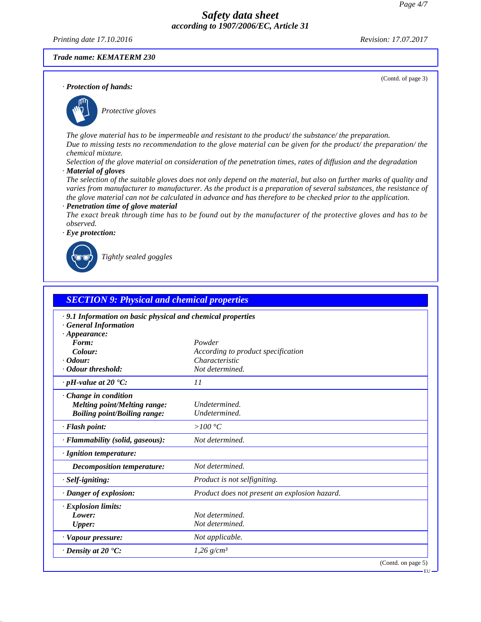*Printing date 17.10.2016 Revision: 17.07.2017*

(Contd. of page 3)

#### *Trade name: KEMATERM 230*

*· Protection of hands:*



\_S*Protective gloves*

*The glove material has to be impermeable and resistant to the product/ the substance/ the preparation. Due to missing tests no recommendation to the glove material can be given for the product/ the preparation/ the chemical mixture.*

*Selection of the glove material on consideration of the penetration times, rates of diffusion and the degradation · Material of gloves*

*The selection of the suitable gloves does not only depend on the material, but also on further marks of quality and varies from manufacturer to manufacturer. As the product is a preparation of several substances, the resistance of the glove material can not be calculated in advance and has therefore to be checked prior to the application.*

#### *· Penetration time of glove material*

*The exact break through time has to be found out by the manufacturer of the protective gloves and has to be observed.*



\_R*Tightly sealed goggles*

| <b>SECTION 9: Physical and chemical properties</b>                                                              |                                               |                    |
|-----------------------------------------------------------------------------------------------------------------|-----------------------------------------------|--------------------|
| .9.1 Information on basic physical and chemical properties<br><b>General Information</b><br>$\cdot$ Appearance: |                                               |                    |
| Form:                                                                                                           | Powder                                        |                    |
| Colour:                                                                                                         | According to product specification            |                    |
| $\cdot$ Odour:                                                                                                  | Characteristic                                |                    |
| · Odour threshold:                                                                                              | Not determined.                               |                    |
| $\cdot$ pH-value at 20 $\textdegree$ C:                                                                         | 11                                            |                    |
| Change in condition<br><b>Melting point/Melting range:</b><br><b>Boiling point/Boiling range:</b>               | Undetermined.<br>Undetermined.                |                    |
| $\cdot$ Flash point:                                                                                            | $>100\degree C$                               |                    |
| · Flammability (solid, gaseous):                                                                                | Not determined.                               |                    |
| · Ignition temperature:                                                                                         |                                               |                    |
| Decomposition temperature:                                                                                      | Not determined.                               |                    |
| · Self-igniting:                                                                                                | Product is not selfigniting.                  |                    |
| · Danger of explosion:                                                                                          | Product does not present an explosion hazard. |                    |
| <b>Explosion limits:</b><br>Lower:<br><b>Upper:</b>                                                             | Not determined.<br>Not determined.            |                    |
| · Vapour pressure:                                                                                              | Not applicable.                               |                    |
| $\cdot$ Density at 20 $\textdegree$ C:                                                                          | $1,26$ g/cm <sup>3</sup>                      |                    |
|                                                                                                                 |                                               | (Contd. on page 5) |

EU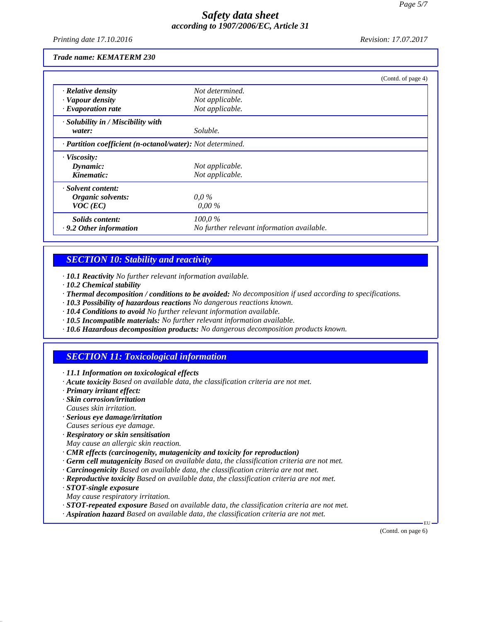*Printing date 17.10.2016 Revision: 17.07.2017*

#### *Trade name: KEMATERM 230*

|                                                            |                                            | (Contd. of page 4) |
|------------------------------------------------------------|--------------------------------------------|--------------------|
| · Relative density                                         | Not determined.                            |                    |
| · Vapour density                                           | Not applicable.                            |                    |
| $\cdot$ Evaporation rate                                   | Not applicable.                            |                    |
| · Solubility in / Miscibility with                         |                                            |                    |
| water:                                                     | Soluble.                                   |                    |
| · Partition coefficient (n-octanol/water): Not determined. |                                            |                    |
| $\cdot$ Viscosity:                                         |                                            |                    |
| Dynamic:                                                   | Not applicable.                            |                    |
| Kinematic:                                                 | Not applicable.                            |                    |
| · Solvent content:                                         |                                            |                    |
| Organic solvents:                                          | $0.0\%$                                    |                    |
| $VOC$ (EC)                                                 | $0,00\%$                                   |                    |
| Solids content:                                            | $100.0\%$                                  |                    |
| $\cdot$ 9.2 Other information                              | No further relevant information available. |                    |

## *SECTION 10: Stability and reactivity*

*· 10.1 Reactivity No further relevant information available.*

- *· 10.2 Chemical stability*
- *· Thermal decomposition / conditions to be avoided: No decomposition if used according to specifications.*
- *· 10.3 Possibility of hazardous reactions No dangerous reactions known.*
- *· 10.4 Conditions to avoid No further relevant information available.*
- *· 10.5 Incompatible materials: No further relevant information available.*
- *· 10.6 Hazardous decomposition products: No dangerous decomposition products known.*

# *SECTION 11: Toxicological information*

- *· 11.1 Information on toxicological effects*
- *· Acute toxicity Based on available data, the classification criteria are not met.*
- *· Primary irritant effect:*
- *· Skin corrosion/irritation Causes skin irritation.*
- *· Serious eye damage/irritation*
- *Causes serious eye damage.*
- *· Respiratory or skin sensitisation*
- *May cause an allergic skin reaction.*
- *· CMR effects (carcinogenity, mutagenicity and toxicity for reproduction)*
- *· Germ cell mutagenicity Based on available data, the classification criteria are not met.*
- *· Carcinogenicity Based on available data, the classification criteria are not met.*
- *· Reproductive toxicity Based on available data, the classification criteria are not met.*
- *· STOT-single exposure*
- *May cause respiratory irritation.*
- *· STOT-repeated exposure Based on available data, the classification criteria are not met.*
- *· Aspiration hazard Based on available data, the classification criteria are not met.*

(Contd. on page 6)

EU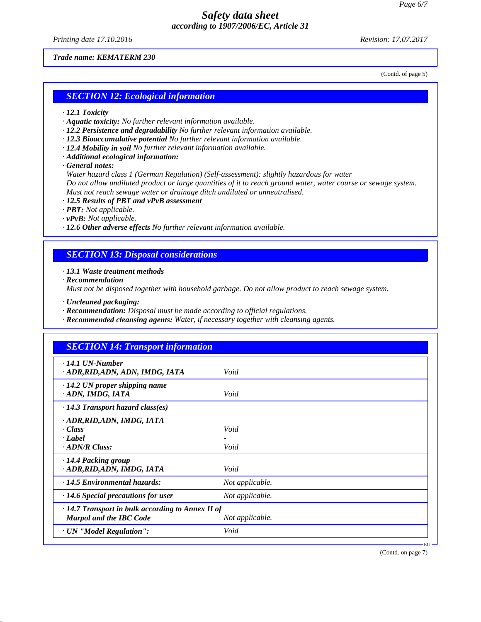*Printing date 17.10.2016 Revision: 17.07.2017*

#### *Trade name: KEMATERM 230*

(Contd. of page 5)

#### *SECTION 12: Ecological information*

- *· 12.1 Toxicity*
- *· Aquatic toxicity: No further relevant information available.*
- *· 12.2 Persistence and degradability No further relevant information available.*
- *· 12.3 Bioaccumulative potential No further relevant information available.*
- *· 12.4 Mobility in soil No further relevant information available.*
- *· Additional ecological information:*
- *· General notes:*

*Water hazard class 1 (German Regulation) (Self-assessment): slightly hazardous for water Do not allow undiluted product or large quantities of it to reach ground water, water course or sewage system. Must not reach sewage water or drainage ditch undiluted or unneutralised.*

- *· 12.5 Results of PBT and vPvB assessment*
- *· PBT: Not applicable.*
- *· vPvB: Not applicable.*
- *· 12.6 Other adverse effects No further relevant information available.*

## *SECTION 13: Disposal considerations*

- *· 13.1 Waste treatment methods*
- *· Recommendation*

*Must not be disposed together with household garbage. Do not allow product to reach sewage system.*

- *· Uncleaned packaging:*
- *· Recommendation: Disposal must be made according to official regulations.*
- *· Recommended cleansing agents: Water, if necessary together with cleansing agents.*

| $\cdot$ 14.1 UN-Number                                  |                 |  |
|---------------------------------------------------------|-----------------|--|
| · ADR, RID, ADN, ADN, IMDG, IATA                        | Void            |  |
| $\cdot$ 14.2 UN proper shipping name                    |                 |  |
| · ADN, IMDG, IATA                                       | Void            |  |
| $\cdot$ 14.3 Transport hazard class(es)                 |                 |  |
| · ADR, RID, ADN, IMDG, IATA                             |                 |  |
| · Class                                                 | Void            |  |
| · Label                                                 |                 |  |
| $\cdot$ ADN/R Class:                                    | Void            |  |
| $\cdot$ 14.4 Packing group                              |                 |  |
| · ADR, RID, ADN, IMDG, IATA                             | Void            |  |
| $\cdot$ 14.5 Environmental hazards:                     | Not applicable. |  |
| $\cdot$ 14.6 Special precautions for user               | Not applicable. |  |
| $\cdot$ 14.7 Transport in bulk according to Annex II of |                 |  |
| Marpol and the IBC Code                                 | Not applicable. |  |
| · UN "Model Regulation":                                | Void            |  |

(Contd. on page 7)